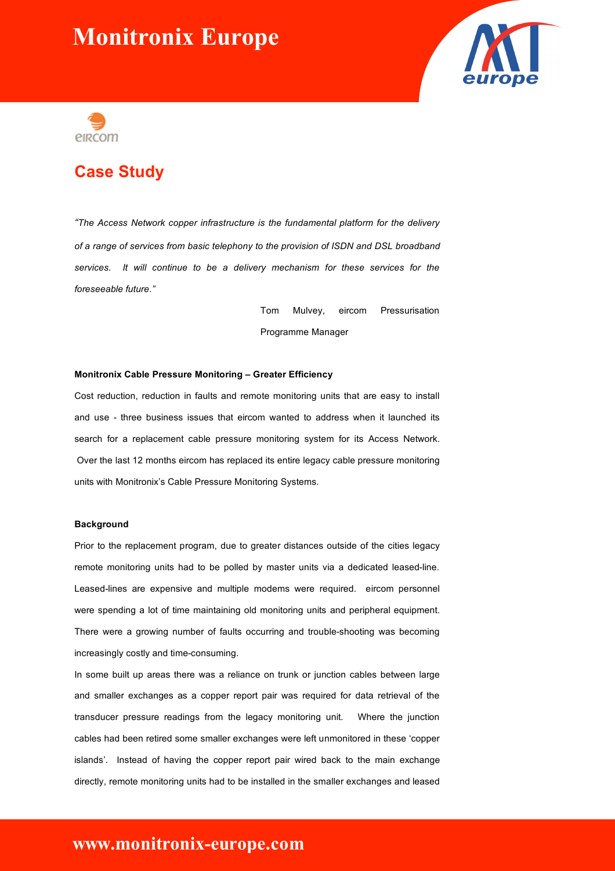



## **Case Study**

*"The Access Network copper infrastructure is the fundamental platform for the delivery of a range of services from basic telephony to the provision of ISDN and DSL broadband services. It will continue to be a delivery mechanism for these services for the foreseeable future."*

> Tom Mulvey, eircom Pressurisation Programme Manager

#### **Monitronix Cable Pressure Monitoring – Greater Efficiency**

Cost reduction, reduction in faults and remote monitoring units that are easy to install and use - three business issues that eircom wanted to address when it launched its search for a replacement cable pressure monitoring system for its Access Network. Over the last 12 months eircom has replaced its entire legacy cable pressure monitoring units with Monitronix's Cable Pressure Monitoring Systems.

#### **Background**

Prior to the replacement program, due to greater distances outside of the cities legacy remote monitoring units had to be polled by master units via a dedicated leased-line. Leased-lines are expensive and multiple modems were required. eircom personnel were spending a lot of time maintaining old monitoring units and peripheral equipment. There were a growing number of faults occurring and trouble-shooting was becoming increasingly costly and time-consuming.

In some built up areas there was a reliance on trunk or junction cables between large and smaller exchanges as a copper report pair was required for data retrieval of the transducer pressure readings from the legacy monitoring unit. Where the junction cables had been retired some smaller exchanges were left unmonitored in these 'copper islands'. Instead of having the copper report pair wired back to the main exchange directly, remote monitoring units had to be installed in the smaller exchanges and leased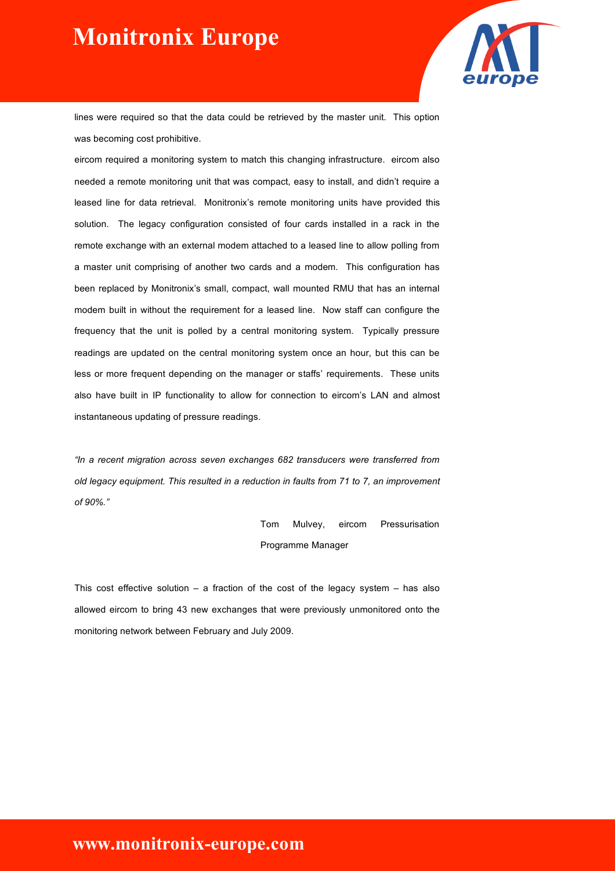

lines were required so that the data could be retrieved by the master unit. This option was becoming cost prohibitive.

eircom required a monitoring system to match this changing infrastructure. eircom also needed a remote monitoring unit that was compact, easy to install, and didn't require a leased line for data retrieval. Monitronix's remote monitoring units have provided this solution. The legacy configuration consisted of four cards installed in a rack in the remote exchange with an external modem attached to a leased line to allow polling from a master unit comprising of another two cards and a modem. This configuration has been replaced by Monitronix's small, compact, wall mounted RMU that has an internal modem built in without the requirement for a leased line. Now staff can configure the frequency that the unit is polled by a central monitoring system. Typically pressure readings are updated on the central monitoring system once an hour, but this can be less or more frequent depending on the manager or staffs' requirements. These units also have built in IP functionality to allow for connection to eircom's LAN and almost instantaneous updating of pressure readings.

*"In a recent migration across seven exchanges 682 transducers were transferred from old legacy equipment. This resulted in a reduction in faults from 71 to 7, an improvement of 90%."*

> Tom Mulvey, eircom Pressurisation Programme Manager

This cost effective solution  $-$  a fraction of the cost of the legacy system  $-$  has also allowed eircom to bring 43 new exchanges that were previously unmonitored onto the monitoring network between February and July 2009.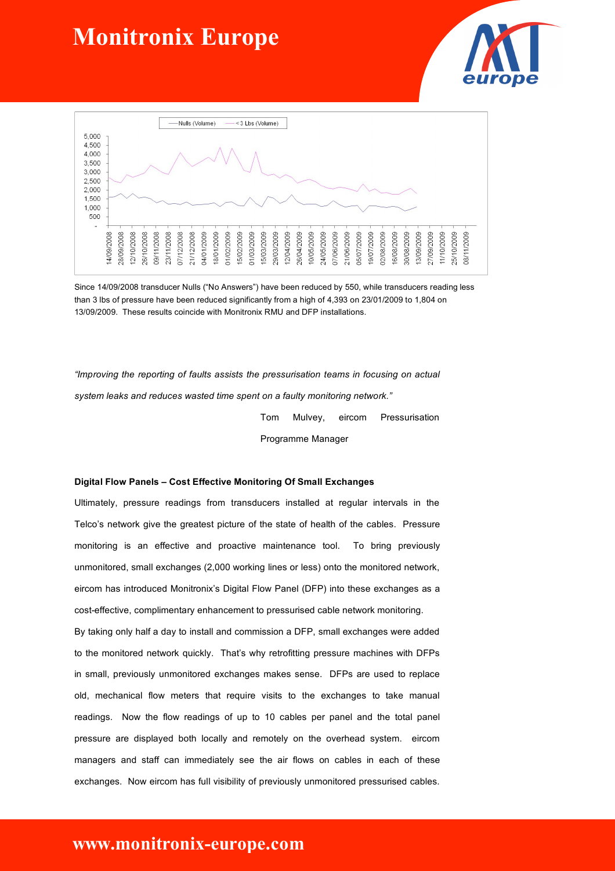



Since 14/09/2008 transducer Nulls ("No Answers") have been reduced by 550, while transducers reading less than 3 lbs of pressure have been reduced significantly from a high of 4,393 on 23/01/2009 to 1,804 on 13/09/2009. These results coincide with Monitronix RMU and DFP installations.

*"Improving the reporting of faults assists the pressurisation teams in focusing on actual system leaks and reduces wasted time spent on a faulty monitoring network."*

Tom Mulvey, eircom Pressurisation

Programme Manager

#### **Digital Flow Panels – Cost Effective Monitoring Of Small Exchanges**

Ultimately, pressure readings from transducers installed at regular intervals in the Telco's network give the greatest picture of the state of health of the cables. Pressure monitoring is an effective and proactive maintenance tool. To bring previously unmonitored, small exchanges (2,000 working lines or less) onto the monitored network, eircom has introduced Monitronix's Digital Flow Panel (DFP) into these exchanges as a cost-effective, complimentary enhancement to pressurised cable network monitoring. By taking only half a day to install and commission a DFP, small exchanges were added to the monitored network quickly. That's why retrofitting pressure machines with DFPs in small, previously unmonitored exchanges makes sense. DFPs are used to replace old, mechanical flow meters that require visits to the exchanges to take manual readings. Now the flow readings of up to 10 cables per panel and the total panel pressure are displayed both locally and remotely on the overhead system. eircom managers and staff can immediately see the air flows on cables in each of these exchanges. Now eircom has full visibility of previously unmonitored pressurised cables.